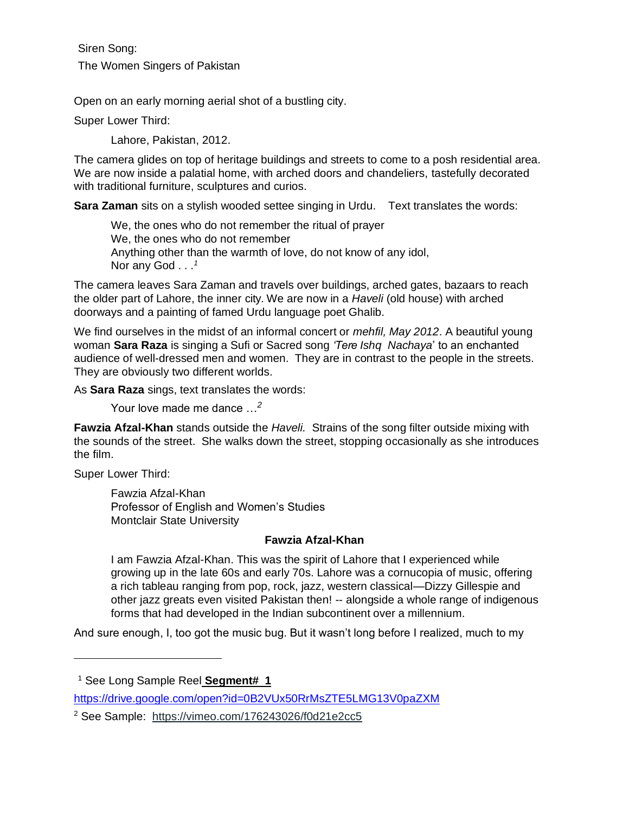Siren Song: The Women Singers of Pakistan

Open on an early morning aerial shot of a bustling city.

Super Lower Third:

Lahore, Pakistan, 2012.

The camera glides on top of heritage buildings and streets to come to a posh residential area. We are now inside a palatial home, with arched doors and chandeliers, tastefully decorated with traditional furniture, sculptures and curios.

**Sara Zaman** sits on a stylish wooded settee singing in Urdu. Text translates the words:

We, the ones who do not remember the ritual of prayer We, the ones who do not remember Anything other than the warmth of love, do not know of any idol, Nor any God . . .*<sup>1</sup>*

The camera leaves Sara Zaman and travels over buildings, arched gates, bazaars to reach the older part of Lahore, the inner city. We are now in a *Haveli* (old house) with arched doorways and a painting of famed Urdu language poet Ghalib.

We find ourselves in the midst of an informal concert or *mehfil, May 2012*. A beautiful young woman **Sara Raza** is singing a Sufi or Sacred song *'Tere Ishq Nachaya*' to an enchanted audience of well-dressed men and women. They are in contrast to the people in the streets. They are obviously two different worlds.

As **Sara Raza** sings, text translates the words:

Your love made me dance …*<sup>2</sup>*

**Fawzia Afzal-Khan** stands outside the *Haveli.* Strains of the song filter outside mixing with the sounds of the street. She walks down the street, stopping occasionally as she introduces the film.

Super Lower Third:

Fawzia Afzal-Khan Professor of English and Women's Studies Montclair State University

## **Fawzia Afzal-Khan**

I am Fawzia Afzal-Khan. This was the spirit of Lahore that I experienced while growing up in the late 60s and early 70s. Lahore was a cornucopia of music, offering a rich tableau ranging from pop, rock, jazz, western classical—Dizzy Gillespie and other jazz greats even visited Pakistan then! -- alongside a whole range of indigenous forms that had developed in the Indian subcontinent over a millennium.

And sure enough, I, too got the music bug. But it wasn't long before I realized, much to my

<sup>1</sup> See Long Sample Reel **Segment# 1**

<https://drive.google.com/open?id=0B2VUx50RrMsZTE5LMG13V0paZXM>

<sup>2</sup> See Sample: [https://vimeo.com/176243026/f0d21e2cc5](https://vimeo.com/176243026/f0d21e2cc5?utm_source=email&utm_medium=vimeo-cliptranscode-201504&utm_campaign=29220)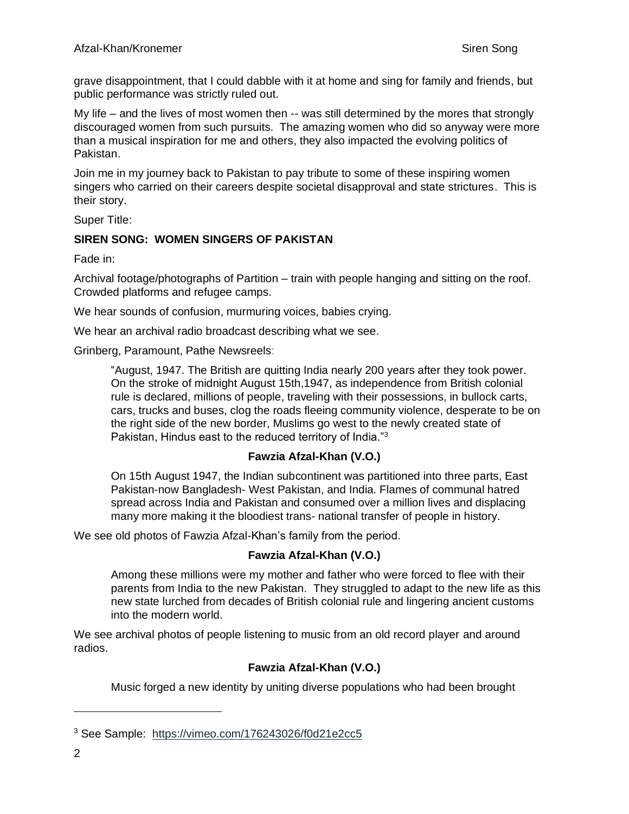grave disappointment, that I could dabble with it at home and sing for family and friends, but public performance was strictly ruled out.

My life – and the lives of most women then -- was still determined by the mores that strongly discouraged women from such pursuits. The amazing women who did so anyway were more than a musical inspiration for me and others, they also impacted the evolving politics of Pakistan.

Join me in my journey back to Pakistan to pay tribute to some of these inspiring women singers who carried on their careers despite societal disapproval and state strictures. This is their story.

Super Title:

## **SIREN SONG: WOMEN SINGERS OF PAKISTAN**

Fade in:

Archival footage/photographs of Partition – train with people hanging and sitting on the roof. Crowded platforms and refugee camps.

We hear sounds of confusion, murmuring voices, babies crying.

We hear an archival radio broadcast describing what we see.

Grinberg, Paramount, Pathe Newsreels:

"August, 1947. The British are quitting India nearly 200 years after they took power. On the stroke of midnight August 15th,1947, as independence from British colonial rule is declared, millions of people, traveling with their possessions, in bullock carts, cars, trucks and buses, clog the roads fleeing community violence, desperate to be on the right side of the new border, Muslims go west to the newly created state of Pakistan, Hindus east to the reduced territory of India."<sup>3</sup>

## **Fawzia Afzal-Khan (V.O.)**

On 15th August 1947, the Indian subcontinent was partitioned into three parts, East Pakistan-now Bangladesh- West Pakistan, and India. Flames of communal hatred spread across India and Pakistan and consumed over a million lives and displacing many more making it the bloodiest trans- national transfer of people in history.

We see old photos of Fawzia Afzal-Khan's family from the period.

## **Fawzia Afzal-Khan (V.O.)**

Among these millions were my mother and father who were forced to flee with their parents from India to the new Pakistan. They struggled to adapt to the new life as this new state lurched from decades of British colonial rule and lingering ancient customs into the modern world.

We see archival photos of people listening to music from an old record player and around radios.

## **Fawzia Afzal-Khan (V.O.)**

Music forged a new identity by uniting diverse populations who had been brought

<sup>3</sup> See Sample: [https://vimeo.com/176243026/f0d21e2cc5](https://vimeo.com/176243026/f0d21e2cc5?utm_source=email&utm_medium=vimeo-cliptranscode-201504&utm_campaign=29220)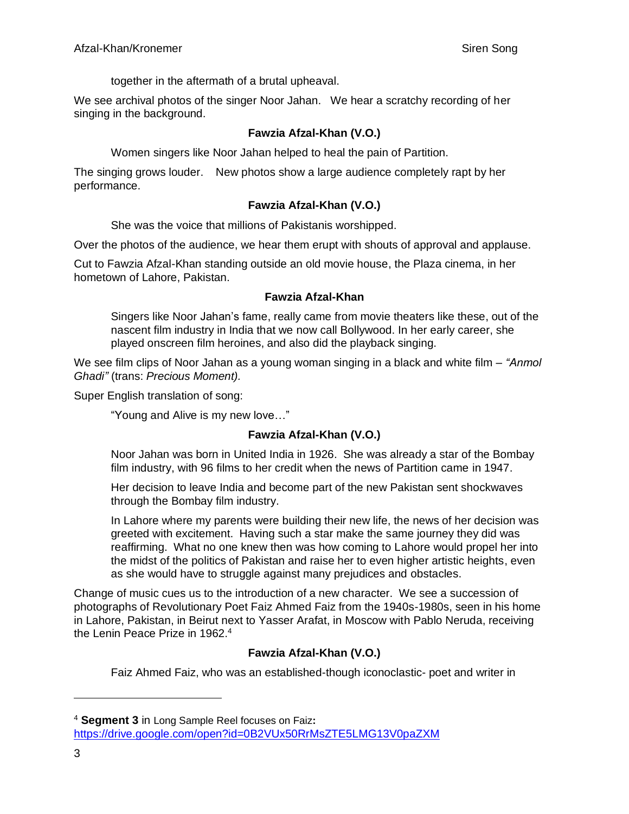together in the aftermath of a brutal upheaval.

We see archival photos of the singer Noor Jahan. We hear a scratchy recording of her singing in the background.

# **Fawzia Afzal-Khan (V.O.)**

Women singers like Noor Jahan helped to heal the pain of Partition.

The singing grows louder. New photos show a large audience completely rapt by her performance.

## **Fawzia Afzal-Khan (V.O.)**

She was the voice that millions of Pakistanis worshipped.

Over the photos of the audience, we hear them erupt with shouts of approval and applause.

Cut to Fawzia Afzal-Khan standing outside an old movie house, the Plaza cinema, in her hometown of Lahore, Pakistan.

## **Fawzia Afzal-Khan**

Singers like Noor Jahan's fame, really came from movie theaters like these, out of the nascent film industry in India that we now call Bollywood. In her early career, she played onscreen film heroines, and also did the playback singing.

We see film clips of Noor Jahan as a young woman singing in a black and white film – *"Anmol Ghadi"* (trans: *Precious Moment).* 

Super English translation of song:

"Young and Alive is my new love…"

## **Fawzia Afzal-Khan (V.O.)**

Noor Jahan was born in United India in 1926. She was already a star of the Bombay film industry, with 96 films to her credit when the news of Partition came in 1947.

Her decision to leave India and become part of the new Pakistan sent shockwaves through the Bombay film industry.

In Lahore where my parents were building their new life, the news of her decision was greeted with excitement. Having such a star make the same journey they did was reaffirming. What no one knew then was how coming to Lahore would propel her into the midst of the politics of Pakistan and raise her to even higher artistic heights, even as she would have to struggle against many prejudices and obstacles.

Change of music cues us to the introduction of a new character. We see a succession of photographs of Revolutionary Poet Faiz Ahmed Faiz from the 1940s-1980s, seen in his home in Lahore, Pakistan, in Beirut next to Yasser Arafat, in Moscow with Pablo Neruda, receiving the Lenin Peace Prize in 1962.<sup>4</sup>

# **Fawzia Afzal-Khan (V.O.)**

Faiz Ahmed Faiz, who was an established-though iconoclastic- poet and writer in

<sup>4</sup> **Segment 3** in Long Sample Reel focuses on Faiz**:** <https://drive.google.com/open?id=0B2VUx50RrMsZTE5LMG13V0paZXM>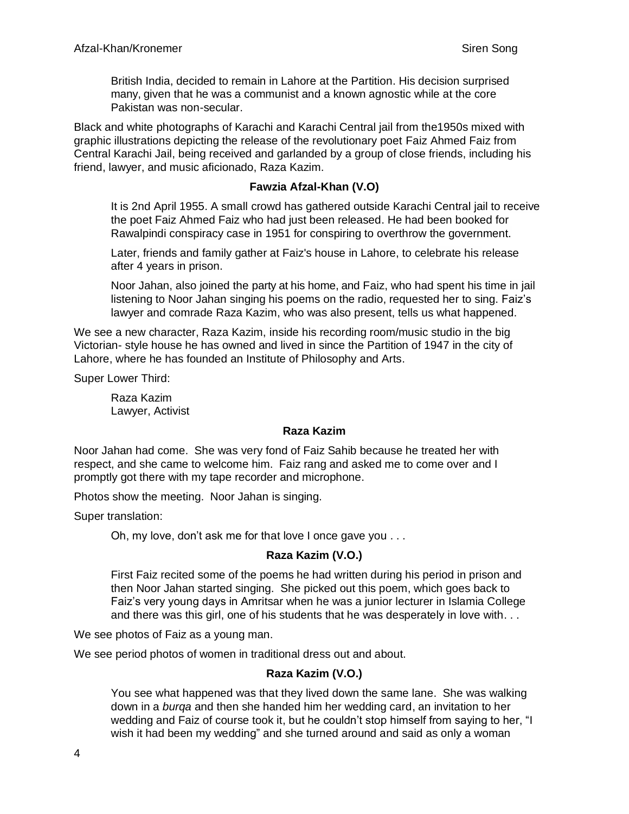British India, decided to remain in Lahore at the Partition. His decision surprised many, given that he was a communist and a known agnostic while at the core Pakistan was non-secular.

Black and white photographs of Karachi and Karachi Central jail from the1950s mixed with graphic illustrations depicting the release of the revolutionary poet Faiz Ahmed Faiz from Central Karachi Jail, being received and garlanded by a group of close friends, including his friend, lawyer, and music aficionado, Raza Kazim.

#### **Fawzia Afzal-Khan (V.O)**

It is 2nd April 1955. A small crowd has gathered outside Karachi Central jail to receive the poet Faiz Ahmed Faiz who had just been released. He had been booked for Rawalpindi conspiracy case in 1951 for conspiring to overthrow the government.

Later, friends and family gather at Faiz's house in Lahore, to celebrate his release after 4 years in prison.

Noor Jahan, also joined the party at his home, and Faiz, who had spent his time in jail listening to Noor Jahan singing his poems on the radio, requested her to sing. Faiz's lawyer and comrade Raza Kazim, who was also present, tells us what happened.

We see a new character, Raza Kazim, inside his recording room/music studio in the big Victorian- style house he has owned and lived in since the Partition of 1947 in the city of Lahore, where he has founded an Institute of Philosophy and Arts.

Super Lower Third:

Raza Kazim Lawyer, Activist

#### **Raza Kazim**

Noor Jahan had come. She was very fond of Faiz Sahib because he treated her with respect, and she came to welcome him. Faiz rang and asked me to come over and I promptly got there with my tape recorder and microphone.

Photos show the meeting. Noor Jahan is singing.

Super translation:

Oh, my love, don't ask me for that love I once gave you . . .

#### **Raza Kazim (V.O.)**

First Faiz recited some of the poems he had written during his period in prison and then Noor Jahan started singing. She picked out this poem, which goes back to Faiz's very young days in Amritsar when he was a junior lecturer in Islamia College and there was this girl, one of his students that he was desperately in love with. . .

We see photos of Faiz as a young man.

We see period photos of women in traditional dress out and about.

#### **Raza Kazim (V.O.)**

You see what happened was that they lived down the same lane. She was walking down in a *burqa* and then she handed him her wedding card, an invitation to her wedding and Faiz of course took it, but he couldn't stop himself from saying to her, "I wish it had been my wedding" and she turned around and said as only a woman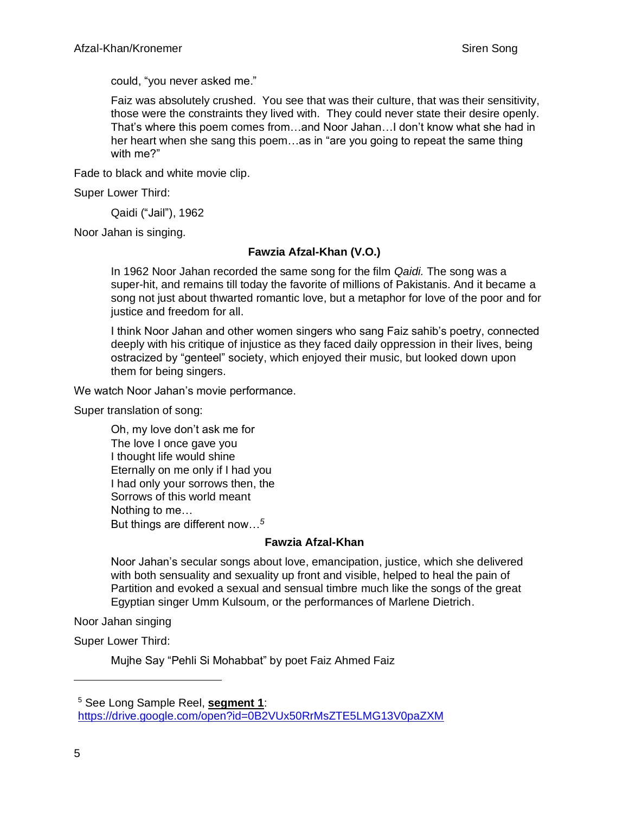could, "you never asked me."

Faiz was absolutely crushed. You see that was their culture, that was their sensitivity, those were the constraints they lived with. They could never state their desire openly. That's where this poem comes from…and Noor Jahan…I don't know what she had in her heart when she sang this poem…as in "are you going to repeat the same thing with me?"

Fade to black and white movie clip.

Super Lower Third:

Qaidi ("Jail"), 1962

Noor Jahan is singing.

# **Fawzia Afzal-Khan (V.O.)**

In 1962 Noor Jahan recorded the same song for the film *Qaidi.* The song was a super-hit, and remains till today the favorite of millions of Pakistanis. And it became a song not just about thwarted romantic love, but a metaphor for love of the poor and for justice and freedom for all.

I think Noor Jahan and other women singers who sang Faiz sahib's poetry, connected deeply with his critique of injustice as they faced daily oppression in their lives, being ostracized by "genteel" society, which enjoyed their music, but looked down upon them for being singers.

We watch Noor Jahan's movie performance.

Super translation of song:

Oh, my love don't ask me for The love I once gave you I thought life would shine Eternally on me only if I had you I had only your sorrows then, the Sorrows of this world meant Nothing to me… But things are different now…*<sup>5</sup>*

## **Fawzia Afzal-Khan**

Noor Jahan's secular songs about love, emancipation, justice, which she delivered with both sensuality and sexuality up front and visible, helped to heal the pain of Partition and evoked a sexual and sensual timbre much like the songs of the great Egyptian singer Umm Kulsoum, or the performances of Marlene Dietrich.

Noor Jahan singing

Super Lower Third:

Mujhe Say "Pehli Si Mohabbat" by poet Faiz Ahmed Faiz

<sup>5</sup> See Long Sample Reel, **segment 1**: <https://drive.google.com/open?id=0B2VUx50RrMsZTE5LMG13V0paZXM>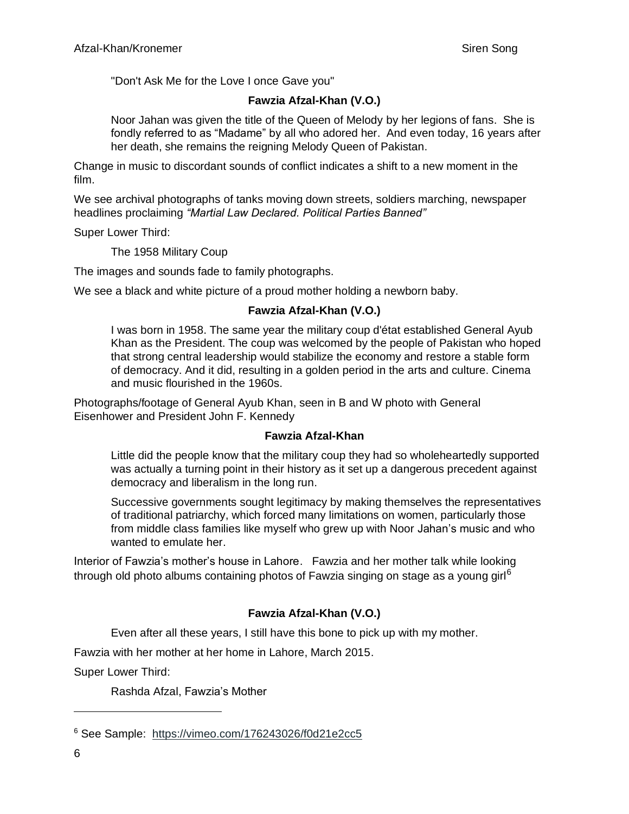"Don't Ask Me for the Love I once Gave you"

# **Fawzia Afzal-Khan (V.O.)**

Noor Jahan was given the title of the Queen of Melody by her legions of fans. She is fondly referred to as "Madame" by all who adored her. And even today, 16 years after her death, she remains the reigning Melody Queen of Pakistan.

Change in music to discordant sounds of conflict indicates a shift to a new moment in the film.

We see archival photographs of tanks moving down streets, soldiers marching, newspaper headlines proclaiming *"Martial Law Declared. Political Parties Banned"*

Super Lower Third:

The 1958 Military Coup

The images and sounds fade to family photographs.

We see a black and white picture of a proud mother holding a newborn baby.

## **Fawzia Afzal-Khan (V.O.)**

I was born in 1958. The same year the military coup d'état established General Ayub Khan as the President. The coup was welcomed by the people of Pakistan who hoped that strong central leadership would stabilize the economy and restore a stable form of democracy. And it did, resulting in a golden period in the arts and culture. Cinema and music flourished in the 1960s.

Photographs/footage of General Ayub Khan, seen in B and W photo with General Eisenhower and President John F. Kennedy

## **Fawzia Afzal-Khan**

Little did the people know that the military coup they had so wholeheartedly supported was actually a turning point in their history as it set up a dangerous precedent against democracy and liberalism in the long run.

Successive governments sought legitimacy by making themselves the representatives of traditional patriarchy, which forced many limitations on women, particularly those from middle class families like myself who grew up with Noor Jahan's music and who wanted to emulate her.

Interior of Fawzia's mother's house in Lahore. Fawzia and her mother talk while looking through old photo albums containing photos of Fawzia singing on stage as a young girl<sup>6</sup>

# **Fawzia Afzal-Khan (V.O.)**

Even after all these years, I still have this bone to pick up with my mother.

Fawzia with her mother at her home in Lahore, March 2015.

Super Lower Third:

Rashda Afzal, Fawzia's Mother

<sup>6</sup> See Sample: [https://vimeo.com/176243026/f0d21e2cc5](https://vimeo.com/176243026/f0d21e2cc5?utm_source=email&utm_medium=vimeo-cliptranscode-201504&utm_campaign=29220)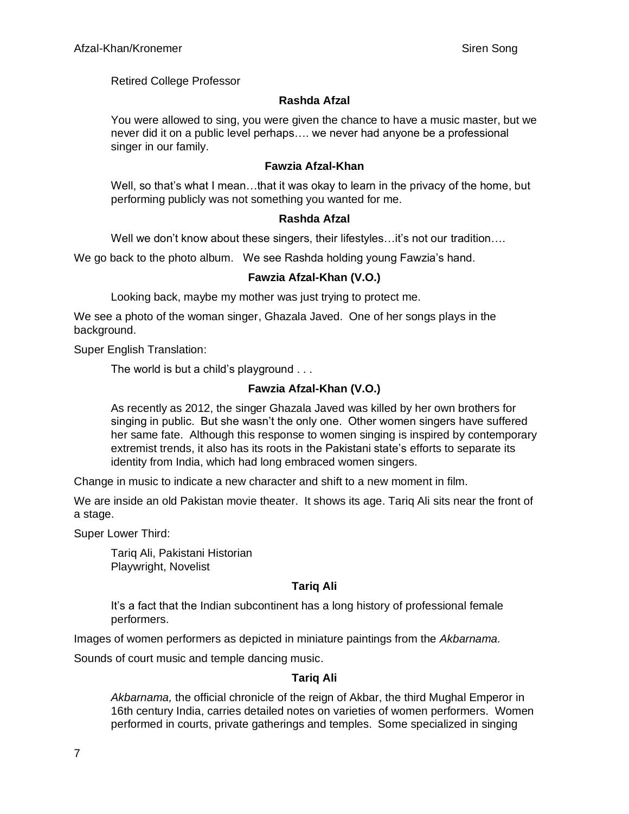Retired College Professor

# **Rashda Afzal**

You were allowed to sing, you were given the chance to have a music master, but we never did it on a public level perhaps…. we never had anyone be a professional singer in our family.

## **Fawzia Afzal-Khan**

Well, so that's what I mean…that it was okay to learn in the privacy of the home, but performing publicly was not something you wanted for me.

## **Rashda Afzal**

Well we don't know about these singers, their lifestyles…it's not our tradition….

We go back to the photo album. We see Rashda holding young Fawzia's hand.

# **Fawzia Afzal-Khan (V.O.)**

Looking back, maybe my mother was just trying to protect me.

We see a photo of the woman singer, Ghazala Javed. One of her songs plays in the background.

Super English Translation:

The world is but a child's playground . . .

# **Fawzia Afzal-Khan (V.O.)**

As recently as 2012, the singer Ghazala Javed was killed by her own brothers for singing in public. But she wasn't the only one. Other women singers have suffered her same fate. Although this response to women singing is inspired by contemporary extremist trends, it also has its roots in the Pakistani state's efforts to separate its identity from India, which had long embraced women singers.

Change in music to indicate a new character and shift to a new moment in film.

We are inside an old Pakistan movie theater. It shows its age. Tariq Ali sits near the front of a stage.

Super Lower Third:

Tariq Ali, Pakistani Historian Playwright, Novelist

# **Tariq Ali**

It's a fact that the Indian subcontinent has a long history of professional female performers.

Images of women performers as depicted in miniature paintings from the *Akbarnama.*

Sounds of court music and temple dancing music.

# **Tariq Ali**

*Akbarnama,* the official chronicle of the reign of Akbar, the third Mughal Emperor in 16th century India, carries detailed notes on varieties of women performers. Women performed in courts, private gatherings and temples. Some specialized in singing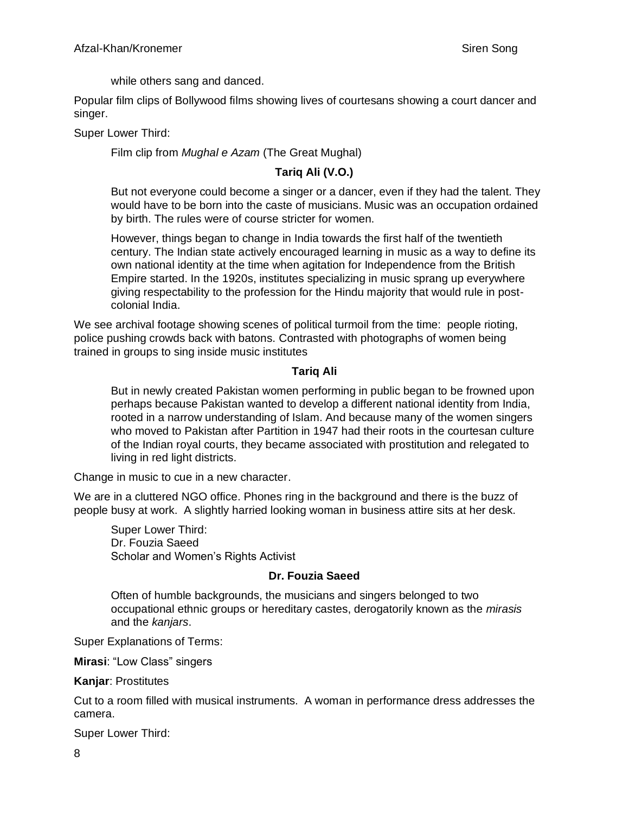while others sang and danced.

Popular film clips of Bollywood films showing lives of courtesans showing a court dancer and singer.

Super Lower Third:

Film clip from *Mughal e Azam* (The Great Mughal)

# **Tariq Ali (V.O.)**

But not everyone could become a singer or a dancer, even if they had the talent. They would have to be born into the caste of musicians. Music was an occupation ordained by birth. The rules were of course stricter for women.

However, things began to change in India towards the first half of the twentieth century. The Indian state actively encouraged learning in music as a way to define its own national identity at the time when agitation for Independence from the British Empire started. In the 1920s, institutes specializing in music sprang up everywhere giving respectability to the profession for the Hindu majority that would rule in postcolonial India.

We see archival footage showing scenes of political turmoil from the time: people rioting, police pushing crowds back with batons. Contrasted with photographs of women being trained in groups to sing inside music institutes

#### **Tariq Ali**

But in newly created Pakistan women performing in public began to be frowned upon perhaps because Pakistan wanted to develop a different national identity from India, rooted in a narrow understanding of Islam. And because many of the women singers who moved to Pakistan after Partition in 1947 had their roots in the courtesan culture of the Indian royal courts, they became associated with prostitution and relegated to living in red light districts.

Change in music to cue in a new character.

We are in a cluttered NGO office. Phones ring in the background and there is the buzz of people busy at work. A slightly harried looking woman in business attire sits at her desk.

Super Lower Third: Dr. Fouzia Saeed Scholar and Women's Rights Activist

## **Dr. Fouzia Saeed**

Often of humble backgrounds, the musicians and singers belonged to two occupational ethnic groups or hereditary castes, derogatorily known as the *mirasis* and the *kanjars*.

Super Explanations of Terms:

**Mirasi**: "Low Class" singers

**Kanjar**: Prostitutes

Cut to a room filled with musical instruments. A woman in performance dress addresses the camera.

Super Lower Third: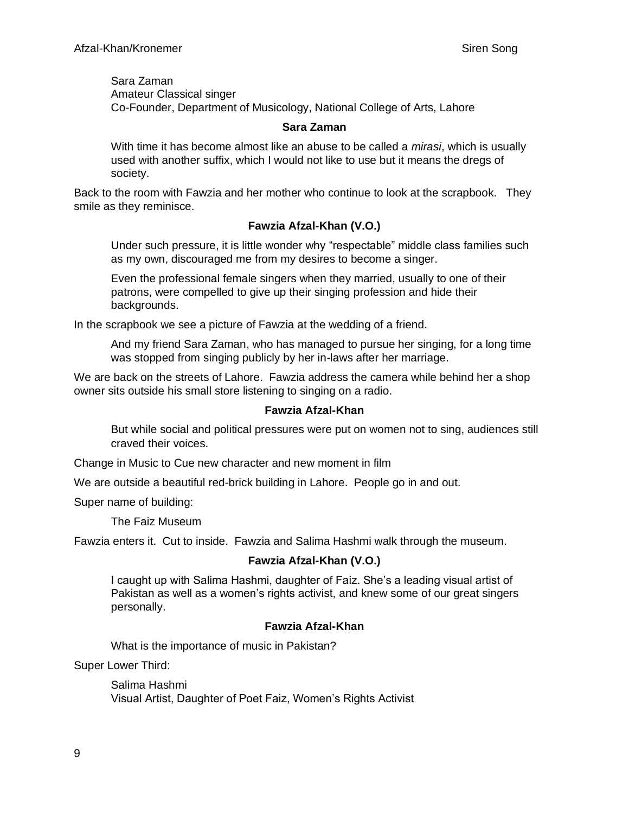Sara Zaman Amateur Classical singer Co-Founder, Department of Musicology, National College of Arts, Lahore

#### **Sara Zaman**

With time it has become almost like an abuse to be called a *mirasi*, which is usually used with another suffix, which I would not like to use but it means the dregs of society.

Back to the room with Fawzia and her mother who continue to look at the scrapbook. They smile as they reminisce.

## **Fawzia Afzal-Khan (V.O.)**

Under such pressure, it is little wonder why "respectable" middle class families such as my own, discouraged me from my desires to become a singer.

Even the professional female singers when they married, usually to one of their patrons, were compelled to give up their singing profession and hide their backgrounds.

In the scrapbook we see a picture of Fawzia at the wedding of a friend.

And my friend Sara Zaman, who has managed to pursue her singing, for a long time was stopped from singing publicly by her in-laws after her marriage.

We are back on the streets of Lahore. Fawzia address the camera while behind her a shop owner sits outside his small store listening to singing on a radio.

#### **Fawzia Afzal-Khan**

But while social and political pressures were put on women not to sing, audiences still craved their voices.

Change in Music to Cue new character and new moment in film

We are outside a beautiful red-brick building in Lahore. People go in and out.

Super name of building:

The Faiz Museum

Fawzia enters it. Cut to inside. Fawzia and Salima Hashmi walk through the museum.

#### **Fawzia Afzal-Khan (V.O.)**

I caught up with Salima Hashmi, daughter of Faiz. She's a leading visual artist of Pakistan as well as a women's rights activist, and knew some of our great singers personally.

#### **Fawzia Afzal-Khan**

What is the importance of music in Pakistan?

Super Lower Third:

Salima Hashmi Visual Artist, Daughter of Poet Faiz, Women's Rights Activist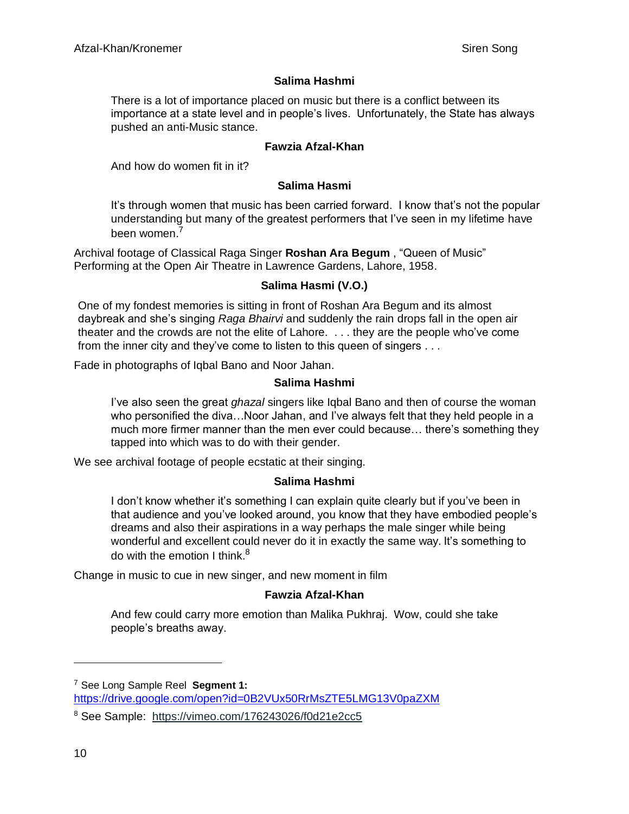## **Salima Hashmi**

There is a lot of importance placed on music but there is a conflict between its importance at a state level and in people's lives. Unfortunately, the State has always pushed an anti-Music stance.

## **Fawzia Afzal-Khan**

And how do women fit in it?

## **Salima Hasmi**

It's through women that music has been carried forward. I know that's not the popular understanding but many of the greatest performers that I've seen in my lifetime have been women.<sup>7</sup>

Archival footage of Classical Raga Singer **Roshan Ara Begum** , "Queen of Music" Performing at the Open Air Theatre in Lawrence Gardens, Lahore, 1958.

## **Salima Hasmi (V.O.)**

One of my fondest memories is sitting in front of Roshan Ara Begum and its almost daybreak and she's singing *Raga Bhairvi* and suddenly the rain drops fall in the open air theater and the crowds are not the elite of Lahore. . . . they are the people who've come from the inner city and they've come to listen to this queen of singers . . .

Fade in photographs of Iqbal Bano and Noor Jahan.

## **Salima Hashmi**

I've also seen the great *ghazal* singers like Iqbal Bano and then of course the woman who personified the diva…Noor Jahan, and I've always felt that they held people in a much more firmer manner than the men ever could because… there's something they tapped into which was to do with their gender.

We see archival footage of people ecstatic at their singing.

## **Salima Hashmi**

I don't know whether it's something I can explain quite clearly but if you've been in that audience and you've looked around, you know that they have embodied people's dreams and also their aspirations in a way perhaps the male singer while being wonderful and excellent could never do it in exactly the same way. It's something to do with the emotion I think. $8<sup>8</sup>$ 

Change in music to cue in new singer, and new moment in film

## **Fawzia Afzal-Khan**

And few could carry more emotion than Malika Pukhraj. Wow, could she take people's breaths away.

<sup>7</sup> See Long Sample Reel **Segment 1:** <https://drive.google.com/open?id=0B2VUx50RrMsZTE5LMG13V0paZXM>

<sup>8</sup> See Sample: [https://vimeo.com/176243026/f0d21e2cc5](https://vimeo.com/176243026/f0d21e2cc5?utm_source=email&utm_medium=vimeo-cliptranscode-201504&utm_campaign=29220)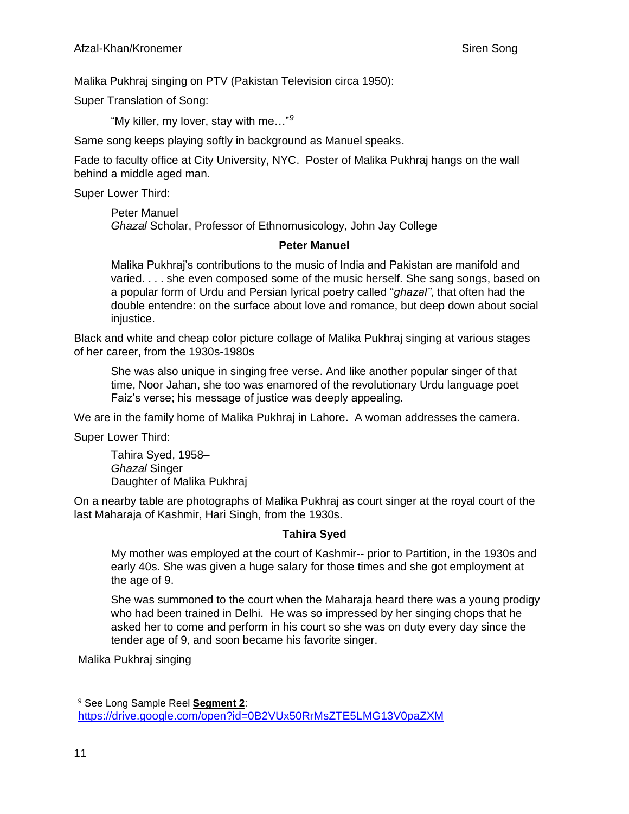Malika Pukhraj singing on PTV (Pakistan Television circa 1950):

Super Translation of Song:

"My killer, my lover, stay with me…"*<sup>9</sup>*

Same song keeps playing softly in background as Manuel speaks.

Fade to faculty office at City University, NYC. Poster of Malika Pukhraj hangs on the wall behind a middle aged man.

Super Lower Third:

Peter Manuel *Ghazal* Scholar, Professor of Ethnomusicology, John Jay College

#### **Peter Manuel**

Malika Pukhraj's contributions to the music of India and Pakistan are manifold and varied. . . . she even composed some of the music herself. She sang songs, based on a popular form of Urdu and Persian lyrical poetry called "*ghazal"*, that often had the double entendre: on the surface about love and romance, but deep down about social iniustice.

Black and white and cheap color picture collage of Malika Pukhraj singing at various stages of her career, from the 1930s-1980s

She was also unique in singing free verse. And like another popular singer of that time, Noor Jahan, she too was enamored of the revolutionary Urdu language poet Faiz's verse; his message of justice was deeply appealing.

We are in the family home of Malika Pukhraj in Lahore. A woman addresses the camera.

Super Lower Third:

Tahira Syed, 1958– *Ghazal* Singer Daughter of Malika Pukhraj

On a nearby table are photographs of Malika Pukhraj as court singer at the royal court of the last Maharaja of Kashmir, Hari Singh, from the 1930s.

## **Tahira Syed**

My mother was employed at the court of Kashmir-- prior to Partition, in the 1930s and early 40s. She was given a huge salary for those times and she got employment at the age of 9.

She was summoned to the court when the Maharaja heard there was a young prodigy who had been trained in Delhi. He was so impressed by her singing chops that he asked her to come and perform in his court so she was on duty every day since the tender age of 9, and soon became his favorite singer.

Malika Pukhraj singing

<sup>9</sup> See Long Sample Reel **Segment 2**: <https://drive.google.com/open?id=0B2VUx50RrMsZTE5LMG13V0paZXM>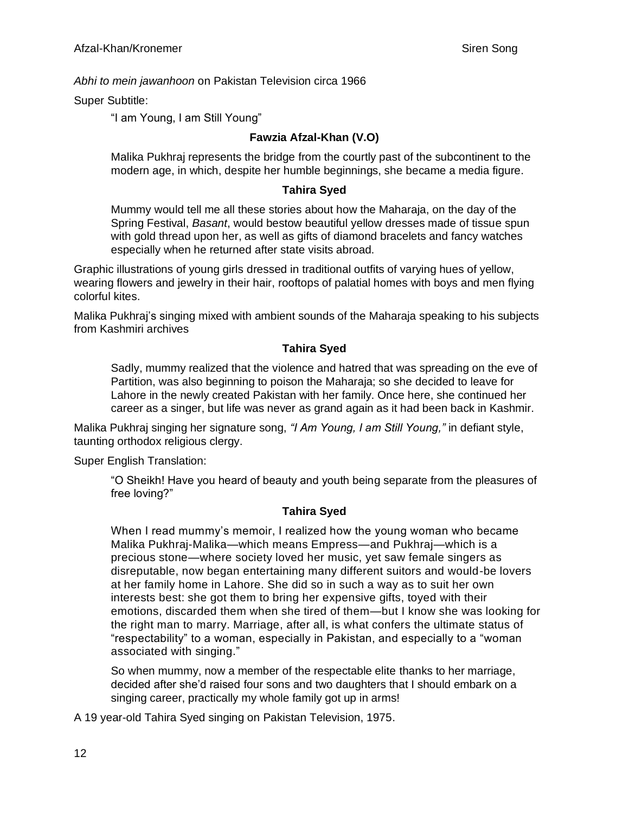## *Abhi to mein jawanhoon* on Pakistan Television circa 1966

Super Subtitle:

"I am Young, I am Still Young"

# **Fawzia Afzal-Khan (V.O)**

Malika Pukhraj represents the bridge from the courtly past of the subcontinent to the modern age, in which, despite her humble beginnings, she became a media figure.

## **Tahira Syed**

Mummy would tell me all these stories about how the Maharaja, on the day of the Spring Festival, *Basant*, would bestow beautiful yellow dresses made of tissue spun with gold thread upon her, as well as gifts of diamond bracelets and fancy watches especially when he returned after state visits abroad.

Graphic illustrations of young girls dressed in traditional outfits of varying hues of yellow, wearing flowers and jewelry in their hair, rooftops of palatial homes with boys and men flying colorful kites.

Malika Pukhraj's singing mixed with ambient sounds of the Maharaja speaking to his subjects from Kashmiri archives

## **Tahira Syed**

Sadly, mummy realized that the violence and hatred that was spreading on the eve of Partition, was also beginning to poison the Maharaja; so she decided to leave for Lahore in the newly created Pakistan with her family. Once here, she continued her career as a singer, but life was never as grand again as it had been back in Kashmir.

Malika Pukhraj singing her signature song, *"I Am Young, I am Still Young,"* in defiant style, taunting orthodox religious clergy.

Super English Translation:

"O Sheikh! Have you heard of beauty and youth being separate from the pleasures of free loving?"

# **Tahira Syed**

When I read mummy's memoir, I realized how the young woman who became Malika Pukhraj-Malika—which means Empress—and Pukhraj—which is a precious stone—where society loved her music, yet saw female singers as disreputable, now began entertaining many different suitors and would-be lovers at her family home in Lahore. She did so in such a way as to suit her own interests best: she got them to bring her expensive gifts, toyed with their emotions, discarded them when she tired of them—but I know she was looking for the right man to marry. Marriage, after all, is what confers the ultimate status of "respectability" to a woman, especially in Pakistan, and especially to a "woman associated with singing."

So when mummy, now a member of the respectable elite thanks to her marriage, decided after she'd raised four sons and two daughters that I should embark on a singing career, practically my whole family got up in arms!

A 19 year-old Tahira Syed singing on Pakistan Television, 1975.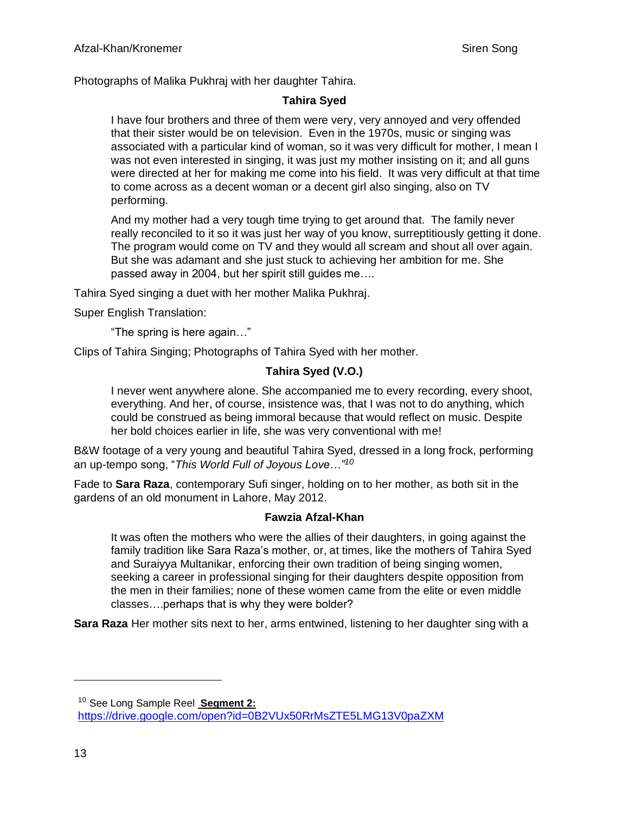Photographs of Malika Pukhraj with her daughter Tahira.

## **Tahira Syed**

I have four brothers and three of them were very, very annoyed and very offended that their sister would be on television. Even in the 1970s, music or singing was associated with a particular kind of woman, so it was very difficult for mother, I mean I was not even interested in singing, it was just my mother insisting on it; and all guns were directed at her for making me come into his field. It was very difficult at that time to come across as a decent woman or a decent girl also singing, also on TV performing.

And my mother had a very tough time trying to get around that. The family never really reconciled to it so it was just her way of you know, surreptitiously getting it done. The program would come on TV and they would all scream and shout all over again. But she was adamant and she just stuck to achieving her ambition for me. She passed away in 2004, but her spirit still guides me….

Tahira Syed singing a duet with her mother Malika Pukhraj.

Super English Translation:

"The spring is here again…"

Clips of Tahira Singing; Photographs of Tahira Syed with her mother.

# **Tahira Syed (V.O.)**

I never went anywhere alone. She accompanied me to every recording, every shoot, everything. And her, of course, insistence was, that I was not to do anything, which could be construed as being immoral because that would reflect on music. Despite her bold choices earlier in life, she was very conventional with me!

B&W footage of a very young and beautiful Tahira Syed, dressed in a long frock, performing an up-tempo song, "*This World Full of Joyous Love…"<sup>10</sup>*

Fade to **Sara Raza**, contemporary Sufi singer, holding on to her mother, as both sit in the gardens of an old monument in Lahore, May 2012.

## **Fawzia Afzal-Khan**

It was often the mothers who were the allies of their daughters, in going against the family tradition like Sara Raza's mother, or, at times, like the mothers of Tahira Syed and Suraiyya Multanikar, enforcing their own tradition of being singing women, seeking a career in professional singing for their daughters despite opposition from the men in their families; none of these women came from the elite or even middle classes….perhaps that is why they were bolder?

**Sara Raza** Her mother sits next to her, arms entwined, listening to her daughter sing with a

<sup>10</sup> See Long Sample Reel **Segment 2:** <https://drive.google.com/open?id=0B2VUx50RrMsZTE5LMG13V0paZXM>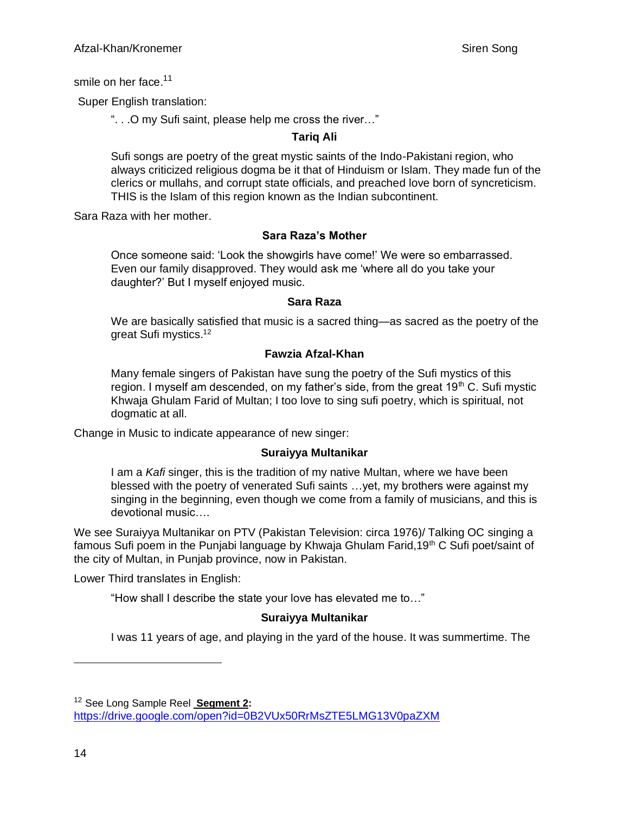smile on her face.<sup>11</sup>

Super English translation:

". . .O my Sufi saint, please help me cross the river…"

## **Tariq Ali**

Sufi songs are poetry of the great mystic saints of the Indo-Pakistani region, who always criticized religious dogma be it that of Hinduism or Islam. They made fun of the clerics or mullahs, and corrupt state officials, and preached love born of syncreticism. THIS is the Islam of this region known as the Indian subcontinent.

Sara Raza with her mother.

## **Sara Raza's Mother**

Once someone said: 'Look the showgirls have come!' We were so embarrassed. Even our family disapproved. They would ask me 'where all do you take your daughter?' But I myself enjoyed music.

#### **Sara Raza**

We are basically satisfied that music is a sacred thing—as sacred as the poetry of the great Sufi mystics.<sup>12</sup>

## **Fawzia Afzal-Khan**

Many female singers of Pakistan have sung the poetry of the Sufi mystics of this region. I myself am descended, on my father's side, from the great  $19<sup>th</sup>$  C. Sufi mystic Khwaja Ghulam Farid of Multan; I too love to sing sufi poetry, which is spiritual, not dogmatic at all.

Change in Music to indicate appearance of new singer:

#### **Suraiyya Multanikar**

I am a *Kafi* singer, this is the tradition of my native Multan, where we have been blessed with the poetry of venerated Sufi saints …yet, my brothers were against my singing in the beginning, even though we come from a family of musicians, and this is devotional music….

We see Suraiyya Multanikar on PTV (Pakistan Television: circa 1976)/ Talking OC singing a famous Sufi poem in the Punjabi language by Khwaja Ghulam Farid,  $19<sup>th</sup>$  C Sufi poet/saint of the city of Multan, in Punjab province, now in Pakistan.

Lower Third translates in English:

"How shall I describe the state your love has elevated me to…"

## **Suraiyya Multanikar**

I was 11 years of age, and playing in the yard of the house. It was summertime. The

<sup>12</sup> See Long Sample Reel **Segment 2:**

<https://drive.google.com/open?id=0B2VUx50RrMsZTE5LMG13V0paZXM>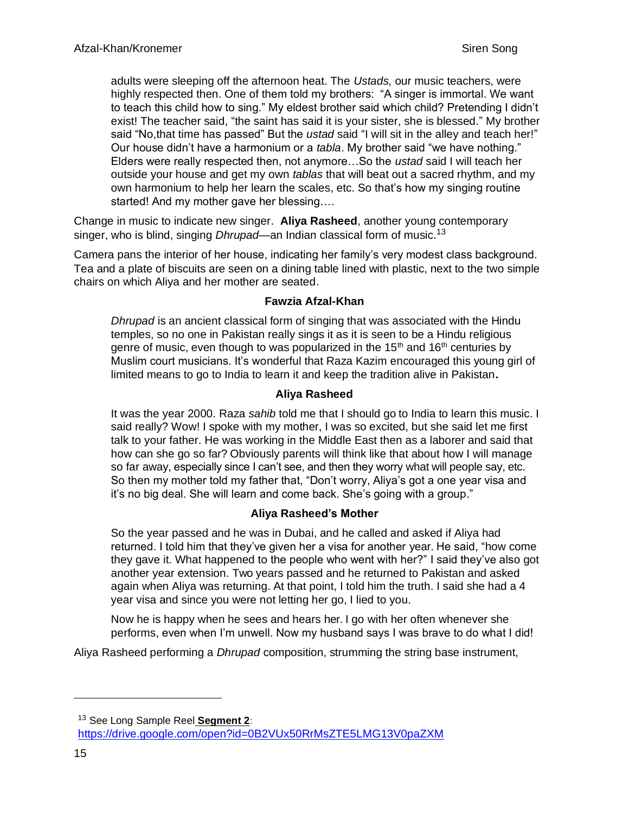adults were sleeping off the afternoon heat. The *Ustads,* our music teachers, were highly respected then. One of them told my brothers: "A singer is immortal. We want to teach this child how to sing." My eldest brother said which child? Pretending I didn't exist! The teacher said, "the saint has said it is your sister, she is blessed." My brother said "No,that time has passed" But the *ustad* said "I will sit in the alley and teach her!" Our house didn't have a harmonium or a *tabla*. My brother said "we have nothing." Elders were really respected then, not anymore…So the *ustad* said I will teach her outside your house and get my own *tablas* that will beat out a sacred rhythm, and my own harmonium to help her learn the scales, etc. So that's how my singing routine started! And my mother gave her blessing….

Change in music to indicate new singer. **Aliya Rasheed**, another young contemporary singer, who is blind, singing *Dhrupad*—an Indian classical form of music.<sup>13</sup>

Camera pans the interior of her house, indicating her family's very modest class background. Tea and a plate of biscuits are seen on a dining table lined with plastic, next to the two simple chairs on which Aliya and her mother are seated.

## **Fawzia Afzal-Khan**

*Dhrupad* is an ancient classical form of singing that was associated with the Hindu temples, so no one in Pakistan really sings it as it is seen to be a Hindu religious genre of music, even though to was popularized in the 15<sup>th</sup> and 16<sup>th</sup> centuries by Muslim court musicians. It's wonderful that Raza Kazim encouraged this young girl of limited means to go to India to learn it and keep the tradition alive in Pakistan**.**

## **Aliya Rasheed**

It was the year 2000. Raza *sahib* told me that I should go to India to learn this music. I said really? Wow! I spoke with my mother, I was so excited, but she said let me first talk to your father. He was working in the Middle East then as a laborer and said that how can she go so far? Obviously parents will think like that about how I will manage so far away, especially since I can't see, and then they worry what will people say, etc. So then my mother told my father that, "Don't worry, Aliya's got a one year visa and it's no big deal. She will learn and come back. She's going with a group."

# **Aliya Rasheed's Mother**

So the year passed and he was in Dubai, and he called and asked if Aliya had returned. I told him that they've given her a visa for another year. He said, "how come they gave it. What happened to the people who went with her?" I said they've also got another year extension. Two years passed and he returned to Pakistan and asked again when Aliya was returning. At that point, I told him the truth. I said she had a 4 year visa and since you were not letting her go, I lied to you.

Now he is happy when he sees and hears her. I go with her often whenever she performs, even when I'm unwell. Now my husband says I was brave to do what I did!

Aliya Rasheed performing a *Dhrupad* composition, strumming the string base instrument,

<sup>13</sup> See Long Sample Reel **Segment 2:**

<https://drive.google.com/open?id=0B2VUx50RrMsZTE5LMG13V0paZXM>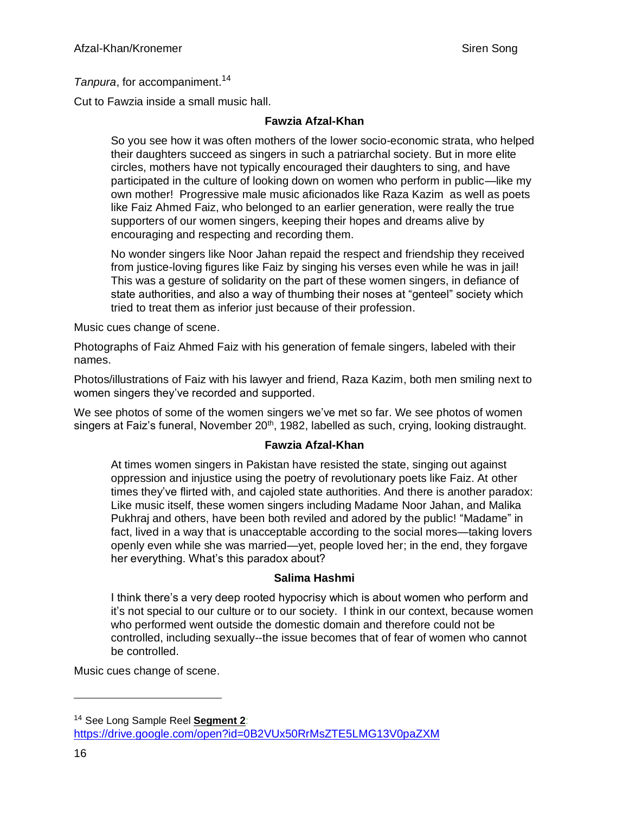*Tanpura*, for accompaniment. 14

Cut to Fawzia inside a small music hall.

## **Fawzia Afzal-Khan**

So you see how it was often mothers of the lower socio-economic strata, who helped their daughters succeed as singers in such a patriarchal society. But in more elite circles, mothers have not typically encouraged their daughters to sing, and have participated in the culture of looking down on women who perform in public—like my own mother! Progressive male music aficionados like Raza Kazim as well as poets like Faiz Ahmed Faiz, who belonged to an earlier generation, were really the true supporters of our women singers, keeping their hopes and dreams alive by encouraging and respecting and recording them.

No wonder singers like Noor Jahan repaid the respect and friendship they received from justice-loving figures like Faiz by singing his verses even while he was in jail! This was a gesture of solidarity on the part of these women singers, in defiance of state authorities, and also a way of thumbing their noses at "genteel" society which tried to treat them as inferior just because of their profession.

Music cues change of scene.

Photographs of Faiz Ahmed Faiz with his generation of female singers, labeled with their names.

Photos/illustrations of Faiz with his lawyer and friend, Raza Kazim, both men smiling next to women singers they've recorded and supported.

We see photos of some of the women singers we've met so far. We see photos of women singers at Faiz's funeral, November  $20<sup>th</sup>$ , 1982, labelled as such, crying, looking distraught.

## **Fawzia Afzal-Khan**

At times women singers in Pakistan have resisted the state, singing out against oppression and injustice using the poetry of revolutionary poets like Faiz. At other times they've flirted with, and cajoled state authorities. And there is another paradox: Like music itself, these women singers including Madame Noor Jahan, and Malika Pukhraj and others, have been both reviled and adored by the public! "Madame" in fact, lived in a way that is unacceptable according to the social mores—taking lovers openly even while she was married—yet, people loved her; in the end, they forgave her everything. What's this paradox about?

## **Salima Hashmi**

I think there's a very deep rooted hypocrisy which is about women who perform and it's not special to our culture or to our society. I think in our context, because women who performed went outside the domestic domain and therefore could not be controlled, including sexually--the issue becomes that of fear of women who cannot be controlled.

Music cues change of scene.

<sup>14</sup> See Long Sample Reel **Segment 2**: <https://drive.google.com/open?id=0B2VUx50RrMsZTE5LMG13V0paZXM>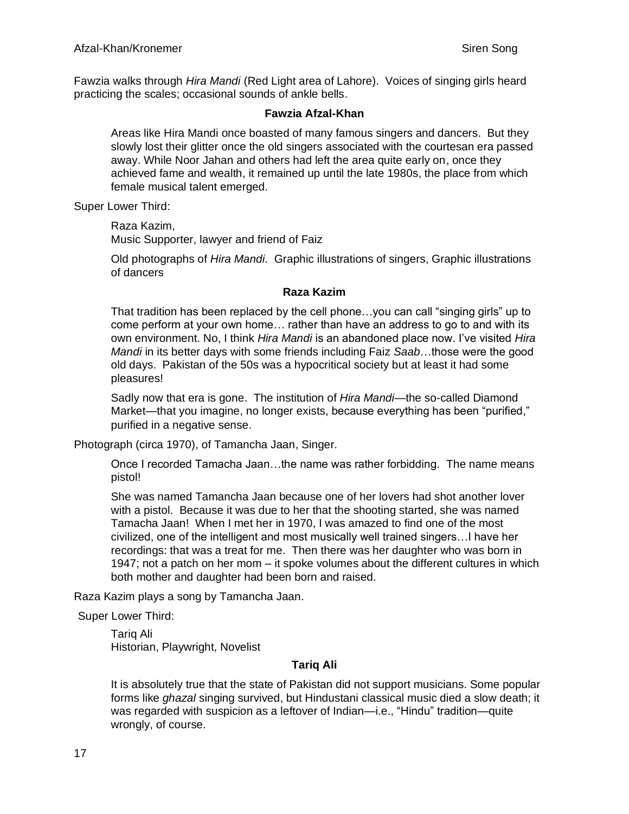Fawzia walks through *Hira Mandi* (Red Light area of Lahore). Voices of singing girls heard practicing the scales; occasional sounds of ankle bells.

#### **Fawzia Afzal-Khan**

Areas like Hira Mandi once boasted of many famous singers and dancers. But they slowly lost their glitter once the old singers associated with the courtesan era passed away. While Noor Jahan and others had left the area quite early on, once they achieved fame and wealth, it remained up until the late 1980s, the place from which female musical talent emerged.

Super Lower Third:

Raza Kazim, Music Supporter, lawyer and friend of Faiz

Old photographs of *Hira Mandi.* Graphic illustrations of singers, Graphic illustrations of dancers

## **Raza Kazim**

That tradition has been replaced by the cell phone…you can call "singing girls" up to come perform at your own home… rather than have an address to go to and with its own environment. No, I think *Hira Mandi* is an abandoned place now. I've visited *Hira Mandi* in its better days with some friends including Faiz *Saab*...those were the good old days. Pakistan of the 50s was a hypocritical society but at least it had some pleasures!

Sadly now that era is gone. The institution of *Hira Mandi*—the so-called Diamond Market—that you imagine, no longer exists, because everything has been "purified," purified in a negative sense.

Photograph (circa 1970), of Tamancha Jaan, Singer.

Once I recorded Tamacha Jaan…the name was rather forbidding. The name means pistol!

She was named Tamancha Jaan because one of her lovers had shot another lover with a pistol. Because it was due to her that the shooting started, she was named Tamacha Jaan! When I met her in 1970, I was amazed to find one of the most civilized, one of the intelligent and most musically well trained singers…I have her recordings: that was a treat for me. Then there was her daughter who was born in 1947; not a patch on her mom – it spoke volumes about the different cultures in which both mother and daughter had been born and raised.

Raza Kazim plays a song by Tamancha Jaan.

Super Lower Third:

Tariq Ali Historian, Playwright, Novelist

## **Tariq Ali**

It is absolutely true that the state of Pakistan did not support musicians. Some popular forms like *ghazal* singing survived, but Hindustani classical music died a slow death; it was regarded with suspicion as a leftover of Indian—i.e., "Hindu" tradition—quite wrongly, of course.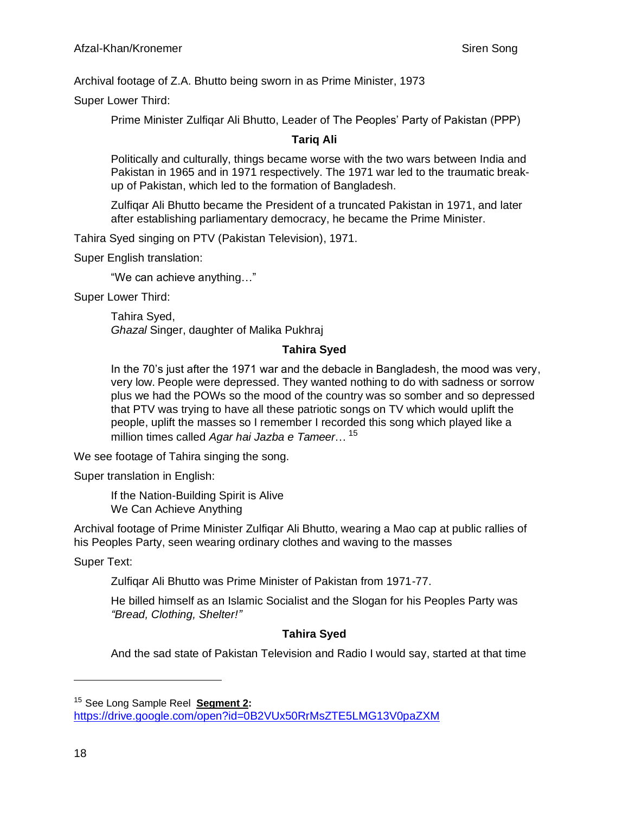Archival footage of Z.A. Bhutto being sworn in as Prime Minister, 1973

Super Lower Third:

Prime Minister Zulfiqar Ali Bhutto, Leader of The Peoples' Party of Pakistan (PPP)

## **Tariq Ali**

Politically and culturally, things became worse with the two wars between India and Pakistan in 1965 and in 1971 respectively. The 1971 war led to the traumatic breakup of Pakistan, which led to the formation of Bangladesh.

Zulfiqar Ali Bhutto became the President of a truncated Pakistan in 1971, and later after establishing parliamentary democracy, he became the Prime Minister.

Tahira Syed singing on PTV (Pakistan Television), 1971.

Super English translation:

"We can achieve anything…"

Super Lower Third:

Tahira Syed, *Ghazal* Singer, daughter of Malika Pukhraj

#### **Tahira Syed**

In the 70's just after the 1971 war and the debacle in Bangladesh, the mood was very, very low. People were depressed. They wanted nothing to do with sadness or sorrow plus we had the POWs so the mood of the country was so somber and so depressed that PTV was trying to have all these patriotic songs on TV which would uplift the people, uplift the masses so I remember I recorded this song which played like a million times called *Agar hai Jazba e Tameer*… 15

We see footage of Tahira singing the song.

Super translation in English:

If the Nation-Building Spirit is Alive We Can Achieve Anything

Archival footage of Prime Minister Zulfiqar Ali Bhutto, wearing a Mao cap at public rallies of his Peoples Party, seen wearing ordinary clothes and waving to the masses

Super Text:

Zulfiqar Ali Bhutto was Prime Minister of Pakistan from 1971-77.

He billed himself as an Islamic Socialist and the Slogan for his Peoples Party was *"Bread, Clothing, Shelter!"*

# **Tahira Syed**

And the sad state of Pakistan Television and Radio I would say, started at that time

<sup>15</sup> See Long Sample Reel **Segment 2:**

<https://drive.google.com/open?id=0B2VUx50RrMsZTE5LMG13V0paZXM>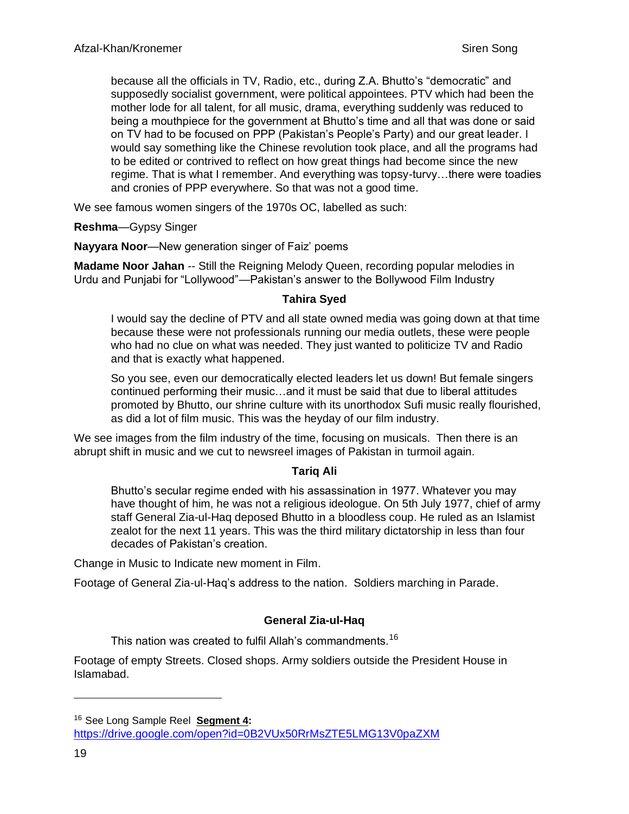because all the officials in TV, Radio, etc., during Z.A. Bhutto's "democratic" and supposedly socialist government, were political appointees. PTV which had been the mother lode for all talent, for all music, drama, everything suddenly was reduced to being a mouthpiece for the government at Bhutto's time and all that was done or said on TV had to be focused on PPP (Pakistan's People's Party) and our great leader. I would say something like the Chinese revolution took place, and all the programs had to be edited or contrived to reflect on how great things had become since the new regime. That is what I remember. And everything was topsy-turvy…there were toadies and cronies of PPP everywhere. So that was not a good time.

We see famous women singers of the 1970s OC, labelled as such:

**Reshma**—Gypsy Singer

**Nayyara Noor**—New generation singer of Faiz' poems

**Madame Noor Jahan** -- Still the Reigning Melody Queen, recording popular melodies in Urdu and Punjabi for "Lollywood"—Pakistan's answer to the Bollywood Film Industry

#### **Tahira Syed**

I would say the decline of PTV and all state owned media was going down at that time because these were not professionals running our media outlets, these were people who had no clue on what was needed. They just wanted to politicize TV and Radio and that is exactly what happened.

So you see, even our democratically elected leaders let us down! But female singers continued performing their music…and it must be said that due to liberal attitudes promoted by Bhutto, our shrine culture with its unorthodox Sufi music really flourished, as did a lot of film music. This was the heyday of our film industry.

We see images from the film industry of the time, focusing on musicals. Then there is an abrupt shift in music and we cut to newsreel images of Pakistan in turmoil again.

## **Tariq Ali**

Bhutto's secular regime ended with his assassination in 1977. Whatever you may have thought of him, he was not a religious ideologue. On 5th July 1977, chief of army staff General Zia-ul-Haq deposed Bhutto in a bloodless coup. He ruled as an Islamist zealot for the next 11 years. This was the third military dictatorship in less than four decades of Pakistan's creation.

Change in Music to Indicate new moment in Film.

Footage of General Zia-ul-Haq's address to the nation. Soldiers marching in Parade.

## **General Zia-ul-Haq**

This nation was created to fulfil Allah's commandments.<sup>16</sup>

Footage of empty Streets. Closed shops. Army soldiers outside the President House in Islamabad.

<sup>16</sup> See Long Sample Reel **Segment 4:**

<https://drive.google.com/open?id=0B2VUx50RrMsZTE5LMG13V0paZXM>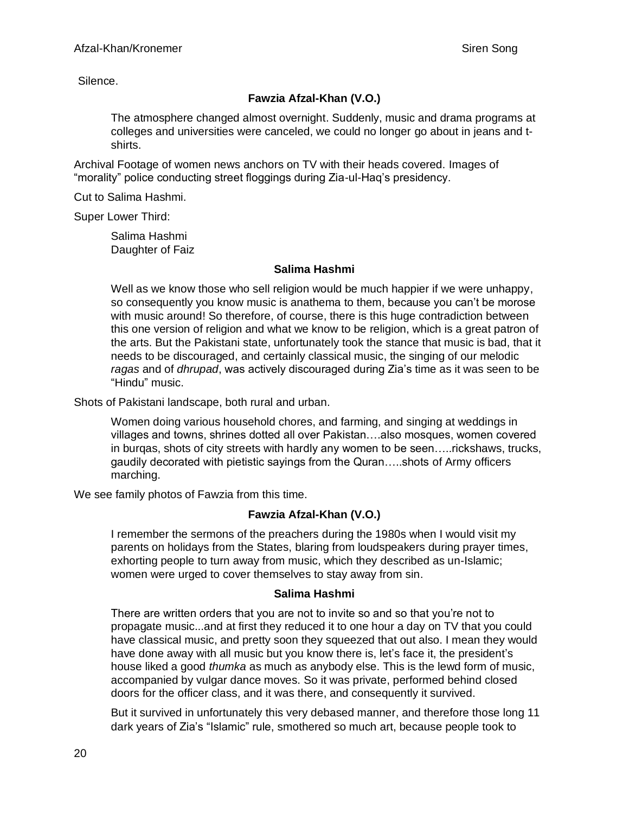Silence.

# **Fawzia Afzal-Khan (V.O.)**

The atmosphere changed almost overnight. Suddenly, music and drama programs at colleges and universities were canceled, we could no longer go about in jeans and tshirts.

Archival Footage of women news anchors on TV with their heads covered. Images of "morality" police conducting street floggings during Zia-ul-Haq's presidency.

Cut to Salima Hashmi.

Super Lower Third:

Salima Hashmi Daughter of Faiz

## **Salima Hashmi**

Well as we know those who sell religion would be much happier if we were unhappy, so consequently you know music is anathema to them, because you can't be morose with music around! So therefore, of course, there is this huge contradiction between this one version of religion and what we know to be religion, which is a great patron of the arts. But the Pakistani state, unfortunately took the stance that music is bad, that it needs to be discouraged, and certainly classical music, the singing of our melodic *ragas* and of *dhrupad*, was actively discouraged during Zia's time as it was seen to be "Hindu" music.

Shots of Pakistani landscape, both rural and urban.

Women doing various household chores, and farming, and singing at weddings in villages and towns, shrines dotted all over Pakistan….also mosques, women covered in burqas, shots of city streets with hardly any women to be seen…..rickshaws, trucks, gaudily decorated with pietistic sayings from the Quran…..shots of Army officers marching.

We see family photos of Fawzia from this time.

# **Fawzia Afzal-Khan (V.O.)**

I remember the sermons of the preachers during the 1980s when I would visit my parents on holidays from the States, blaring from loudspeakers during prayer times, exhorting people to turn away from music, which they described as un-Islamic; women were urged to cover themselves to stay away from sin.

## **Salima Hashmi**

There are written orders that you are not to invite so and so that you're not to propagate music...and at first they reduced it to one hour a day on TV that you could have classical music, and pretty soon they squeezed that out also. I mean they would have done away with all music but you know there is, let's face it, the president's house liked a good *thumka* as much as anybody else. This is the lewd form of music, accompanied by vulgar dance moves. So it was private, performed behind closed doors for the officer class, and it was there, and consequently it survived.

But it survived in unfortunately this very debased manner, and therefore those long 11 dark years of Zia's "Islamic" rule, smothered so much art, because people took to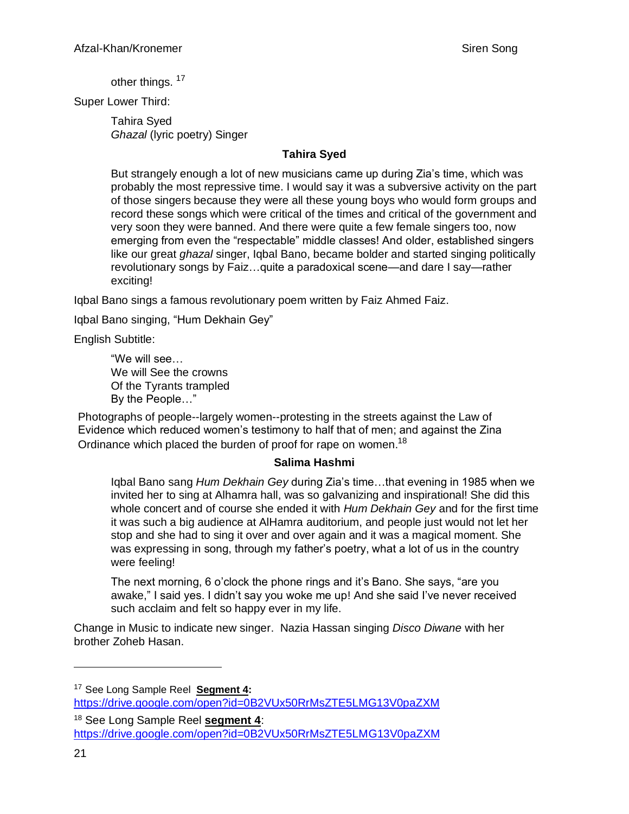other things. <sup>17</sup>

Super Lower Third:

Tahira Syed *Ghazal* (lyric poetry) Singer

## **Tahira Syed**

But strangely enough a lot of new musicians came up during Zia's time, which was probably the most repressive time. I would say it was a subversive activity on the part of those singers because they were all these young boys who would form groups and record these songs which were critical of the times and critical of the government and very soon they were banned. And there were quite a few female singers too, now emerging from even the "respectable" middle classes! And older, established singers like our great *ghazal* singer, Iqbal Bano, became bolder and started singing politically revolutionary songs by Faiz…quite a paradoxical scene—and dare I say—rather exciting!

Iqbal Bano sings a famous revolutionary poem written by Faiz Ahmed Faiz.

Iqbal Bano singing, "Hum Dekhain Gey"

English Subtitle:

"We will see… We will See the crowns Of the Tyrants trampled By the People…"

Photographs of people--largely women--protesting in the streets against the Law of Evidence which reduced women's testimony to half that of men; and against the Zina Ordinance which placed the burden of proof for rape on women.<sup>18</sup>

## **Salima Hashmi**

Iqbal Bano sang *Hum Dekhain Gey* during Zia's time…that evening in 1985 when we invited her to sing at Alhamra hall, was so galvanizing and inspirational! She did this whole concert and of course she ended it with *Hum Dekhain Gey* and for the first time it was such a big audience at AlHamra auditorium, and people just would not let her stop and she had to sing it over and over again and it was a magical moment. She was expressing in song, through my father's poetry, what a lot of us in the country were feeling!

The next morning, 6 o'clock the phone rings and it's Bano. She says, "are you awake," I said yes. I didn't say you woke me up! And she said I've never received such acclaim and felt so happy ever in my life.

Change in Music to indicate new singer. Nazia Hassan singing *Disco Diwane* with her brother Zoheb Hasan.

<sup>17</sup> See Long Sample Reel **Segment 4:**

<https://drive.google.com/open?id=0B2VUx50RrMsZTE5LMG13V0paZXM>

<sup>18</sup> See Long Sample Reel **segment 4**: <https://drive.google.com/open?id=0B2VUx50RrMsZTE5LMG13V0paZXM>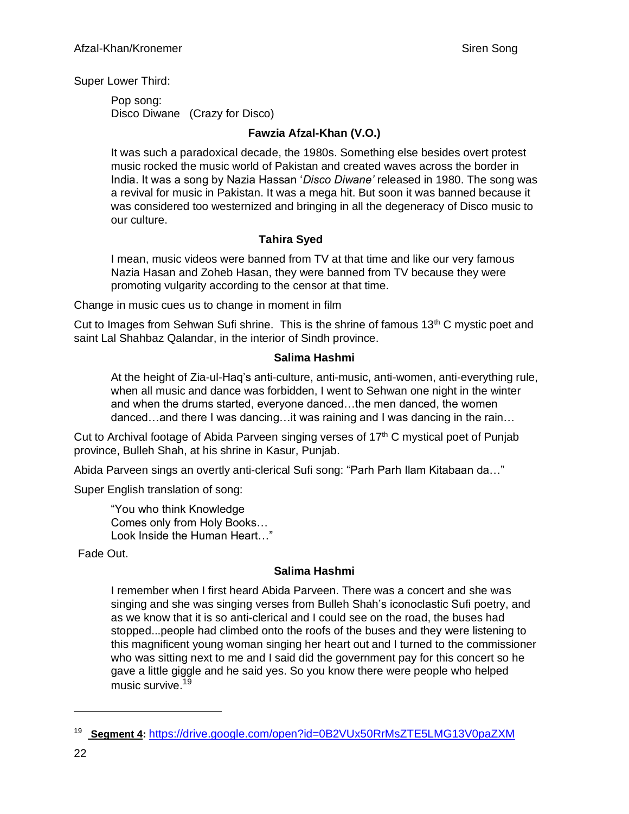Super Lower Third:

Pop song: Disco Diwane (Crazy for Disco)

## **Fawzia Afzal-Khan (V.O.)**

It was such a paradoxical decade, the 1980s. Something else besides overt protest music rocked the music world of Pakistan and created waves across the border in India. It was a song by Nazia Hassan '*Disco Diwane'* released in 1980. The song was a revival for music in Pakistan. It was a mega hit. But soon it was banned because it was considered too westernized and bringing in all the degeneracy of Disco music to our culture.

## **Tahira Syed**

I mean, music videos were banned from TV at that time and like our very famous Nazia Hasan and Zoheb Hasan, they were banned from TV because they were promoting vulgarity according to the censor at that time.

Change in music cues us to change in moment in film

Cut to Images from Sehwan Sufi shrine. This is the shrine of famous  $13<sup>th</sup>$  C mystic poet and saint Lal Shahbaz Qalandar, in the interior of Sindh province.

## **Salima Hashmi**

At the height of Zia-ul-Haq's anti-culture, anti-music, anti-women, anti-everything rule, when all music and dance was forbidden, I went to Sehwan one night in the winter and when the drums started, everyone danced...the men danced, the women danced…and there I was dancing…it was raining and I was dancing in the rain…

Cut to Archival footage of Abida Parveen singing verses of 17<sup>th</sup> C mystical poet of Punjab province, Bulleh Shah, at his shrine in Kasur, Punjab.

Abida Parveen sings an overtly anti-clerical Sufi song: "Parh Parh Ilam Kitabaan da…"

Super English translation of song:

"You who think Knowledge Comes only from Holy Books… Look Inside the Human Heart…"

Fade Out.

## **Salima Hashmi**

I remember when I first heard Abida Parveen. There was a concert and she was singing and she was singing verses from Bulleh Shah's iconoclastic Sufi poetry, and as we know that it is so anti-clerical and I could see on the road, the buses had stopped...people had climbed onto the roofs of the buses and they were listening to this magnificent young woman singing her heart out and I turned to the commissioner who was sitting next to me and I said did the government pay for this concert so he gave a little giggle and he said yes. So you know there were people who helped music survive. 19

<sup>19</sup> **Segment 4:** <https://drive.google.com/open?id=0B2VUx50RrMsZTE5LMG13V0paZXM>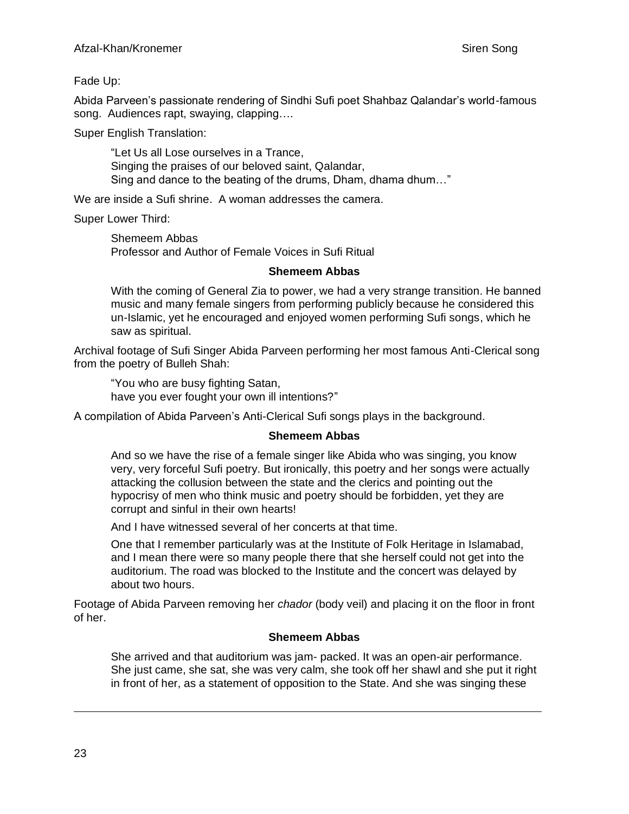Fade Up:

Abida Parveen's passionate rendering of Sindhi Sufi poet Shahbaz Qalandar's world-famous song. Audiences rapt, swaying, clapping….

Super English Translation:

"Let Us all Lose ourselves in a Trance, Singing the praises of our beloved saint, Qalandar, Sing and dance to the beating of the drums, Dham, dhama dhum…"

We are inside a Sufi shrine. A woman addresses the camera.

Super Lower Third:

Shemeem Abbas Professor and Author of Female Voices in Sufi Ritual

#### **Shemeem Abbas**

With the coming of General Zia to power, we had a very strange transition. He banned music and many female singers from performing publicly because he considered this un-Islamic, yet he encouraged and enjoyed women performing Sufi songs, which he saw as spiritual.

Archival footage of Sufi Singer Abida Parveen performing her most famous Anti-Clerical song from the poetry of Bulleh Shah:

"You who are busy fighting Satan,

have you ever fought your own ill intentions?"

A compilation of Abida Parveen's Anti-Clerical Sufi songs plays in the background.

## **Shemeem Abbas**

And so we have the rise of a female singer like Abida who was singing, you know very, very forceful Sufi poetry. But ironically, this poetry and her songs were actually attacking the collusion between the state and the clerics and pointing out the hypocrisy of men who think music and poetry should be forbidden, yet they are corrupt and sinful in their own hearts!

And I have witnessed several of her concerts at that time.

One that I remember particularly was at the Institute of Folk Heritage in Islamabad, and I mean there were so many people there that she herself could not get into the auditorium. The road was blocked to the Institute and the concert was delayed by about two hours.

Footage of Abida Parveen removing her *chador* (body veil) and placing it on the floor in front of her.

## **Shemeem Abbas**

She arrived and that auditorium was jam- packed. It was an open-air performance. She just came, she sat, she was very calm, she took off her shawl and she put it right in front of her, as a statement of opposition to the State. And she was singing these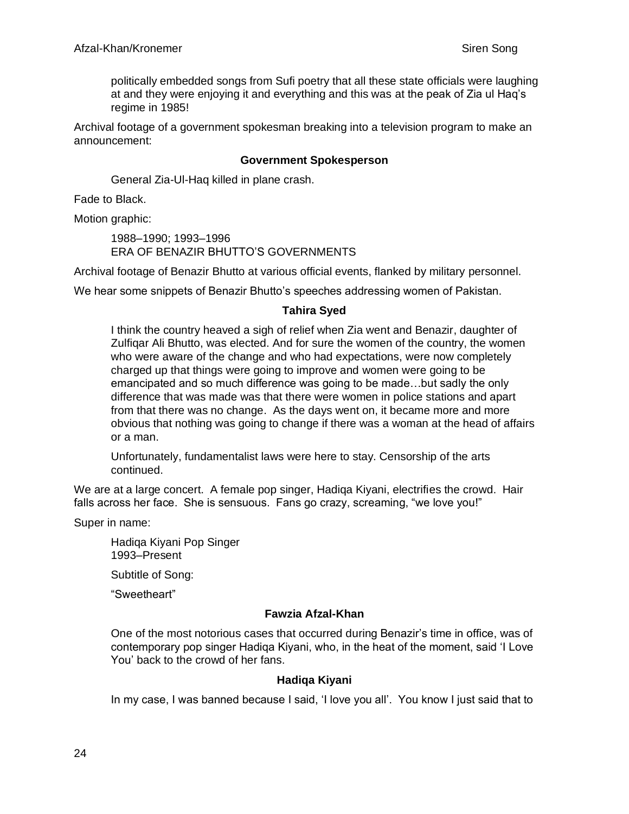politically embedded songs from Sufi poetry that all these state officials were laughing at and they were enjoying it and everything and this was at the peak of Zia ul Haq's regime in 1985!

Archival footage of a government spokesman breaking into a television program to make an announcement:

#### **Government Spokesperson**

General Zia-Ul-Haq killed in plane crash.

Fade to Black.

Motion graphic:

1988–1990; 1993–1996 ERA OF BENAZIR BHUTTO'S GOVERNMENTS

Archival footage of Benazir Bhutto at various official events, flanked by military personnel.

We hear some snippets of Benazir Bhutto's speeches addressing women of Pakistan.

#### **Tahira Syed**

I think the country heaved a sigh of relief when Zia went and Benazir, daughter of Zulfiqar Ali Bhutto, was elected. And for sure the women of the country, the women who were aware of the change and who had expectations, were now completely charged up that things were going to improve and women were going to be emancipated and so much difference was going to be made…but sadly the only difference that was made was that there were women in police stations and apart from that there was no change. As the days went on, it became more and more obvious that nothing was going to change if there was a woman at the head of affairs or a man.

Unfortunately, fundamentalist laws were here to stay. Censorship of the arts continued.

We are at a large concert. A female pop singer, Hadiqa Kiyani, electrifies the crowd. Hair falls across her face. She is sensuous. Fans go crazy, screaming, "we love you!"

Super in name:

Hadiqa Kiyani Pop Singer 1993–Present

Subtitle of Song:

"Sweetheart"

#### **Fawzia Afzal-Khan**

One of the most notorious cases that occurred during Benazir's time in office, was of contemporary pop singer Hadiqa Kiyani, who, in the heat of the moment, said 'I Love You' back to the crowd of her fans.

#### **Hadiqa Kiyani**

In my case, I was banned because I said, 'I love you all'. You know I just said that to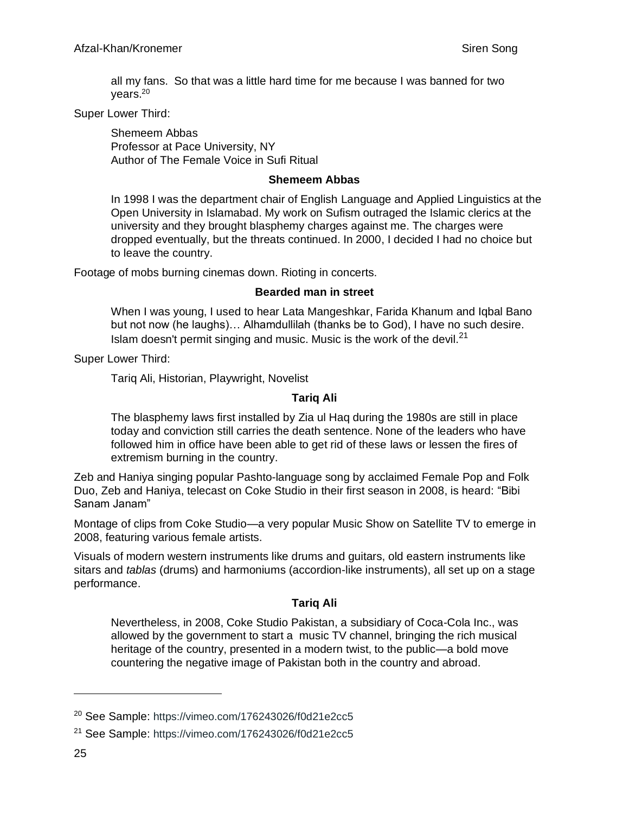all my fans. So that was a little hard time for me because I was banned for two years.<sup>20</sup>

#### Super Lower Third:

Shemeem Abbas Professor at Pace University, NY Author of The Female Voice in Sufi Ritual

#### **Shemeem Abbas**

In 1998 I was the department chair of English Language and Applied Linguistics at the Open University in Islamabad. My work on Sufism outraged the Islamic clerics at the university and they brought blasphemy charges against me. The charges were dropped eventually, but the threats continued. In 2000, I decided I had no choice but to leave the country.

Footage of mobs burning cinemas down. Rioting in concerts.

#### **Bearded man in street**

When I was young, I used to hear Lata Mangeshkar, Farida Khanum and Iqbal Bano but not now (he laughs)… Alhamdullilah (thanks be to God), I have no such desire. Islam doesn't permit singing and music. Music is the work of the devil. $21$ 

Super Lower Third:

Tariq Ali, Historian, Playwright, Novelist

## **Tariq Ali**

The blasphemy laws first installed by Zia ul Haq during the 1980s are still in place today and conviction still carries the death sentence. None of the leaders who have followed him in office have been able to get rid of these laws or lessen the fires of extremism burning in the country.

Zeb and Haniya singing popular Pashto-language song by acclaimed Female Pop and Folk Duo, Zeb and Haniya, telecast on Coke Studio in their first season in 2008, is heard: "Bibi Sanam Janam"

Montage of clips from Coke Studio—a very popular Music Show on Satellite TV to emerge in 2008, featuring various female artists.

Visuals of modern western instruments like drums and guitars, old eastern instruments like sitars and *tablas* (drums) and harmoniums (accordion-like instruments), all set up on a stage performance.

## **Tariq Ali**

Nevertheless, in 2008, Coke Studio Pakistan, a subsidiary of Coca-Cola Inc., was allowed by the government to start a music TV channel, bringing the rich musical heritage of the country, presented in a modern twist, to the public—a bold move countering the negative image of Pakistan both in the country and abroad.

<sup>20</sup> See Sample: [https://vimeo.com/176243026/f0d21e2cc5](https://vimeo.com/176243026/f0d21e2cc5?utm_source=email&utm_medium=vimeo-cliptranscode-201504&utm_campaign=29220)

<sup>21</sup> See Sample: [https://vimeo.com/176243026/f0d21e2cc5](https://vimeo.com/176243026/f0d21e2cc5?utm_source=email&utm_medium=vimeo-cliptranscode-201504&utm_campaign=29220)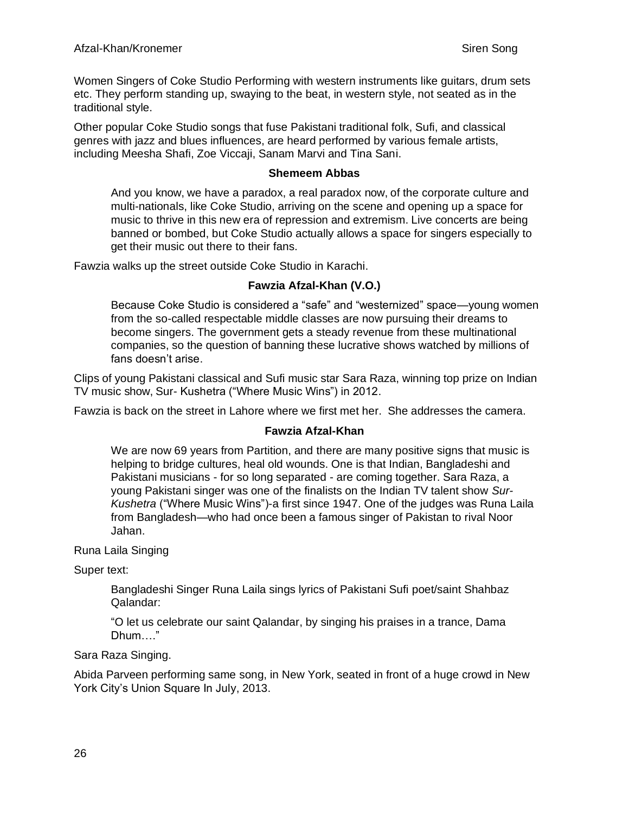Women Singers of Coke Studio Performing with western instruments like guitars, drum sets etc. They perform standing up, swaying to the beat, in western style, not seated as in the traditional style.

Other popular Coke Studio songs that fuse Pakistani traditional folk, Sufi, and classical genres with jazz and blues influences, are heard performed by various female artists, including Meesha Shafi, Zoe Viccaji, Sanam Marvi and Tina Sani.

#### **Shemeem Abbas**

And you know, we have a paradox, a real paradox now, of the corporate culture and multi-nationals, like Coke Studio, arriving on the scene and opening up a space for music to thrive in this new era of repression and extremism. Live concerts are being banned or bombed, but Coke Studio actually allows a space for singers especially to get their music out there to their fans.

Fawzia walks up the street outside Coke Studio in Karachi.

## **Fawzia Afzal-Khan (V.O.)**

Because Coke Studio is considered a "safe" and "westernized" space—young women from the so-called respectable middle classes are now pursuing their dreams to become singers. The government gets a steady revenue from these multinational companies, so the question of banning these lucrative shows watched by millions of fans doesn't arise.

Clips of young Pakistani classical and Sufi music star Sara Raza, winning top prize on Indian TV music show, Sur- Kushetra ("Where Music Wins") in 2012.

Fawzia is back on the street in Lahore where we first met her. She addresses the camera.

## **Fawzia Afzal-Khan**

We are now 69 years from Partition, and there are many positive signs that music is helping to bridge cultures, heal old wounds. One is that Indian, Bangladeshi and Pakistani musicians - for so long separated - are coming together. Sara Raza, a young Pakistani singer was one of the finalists on the Indian TV talent show *Sur-Kushetra* ("Where Music Wins")-a first since 1947. One of the judges was Runa Laila from Bangladesh—who had once been a famous singer of Pakistan to rival Noor Jahan.

Runa Laila Singing

Super text:

Bangladeshi Singer Runa Laila sings lyrics of Pakistani Sufi poet/saint Shahbaz Qalandar:

"O let us celebrate our saint Qalandar, by singing his praises in a trance, Dama Dhum…."

Sara Raza Singing.

Abida Parveen performing same song, in New York, seated in front of a huge crowd in New York City's Union Square In July, 2013.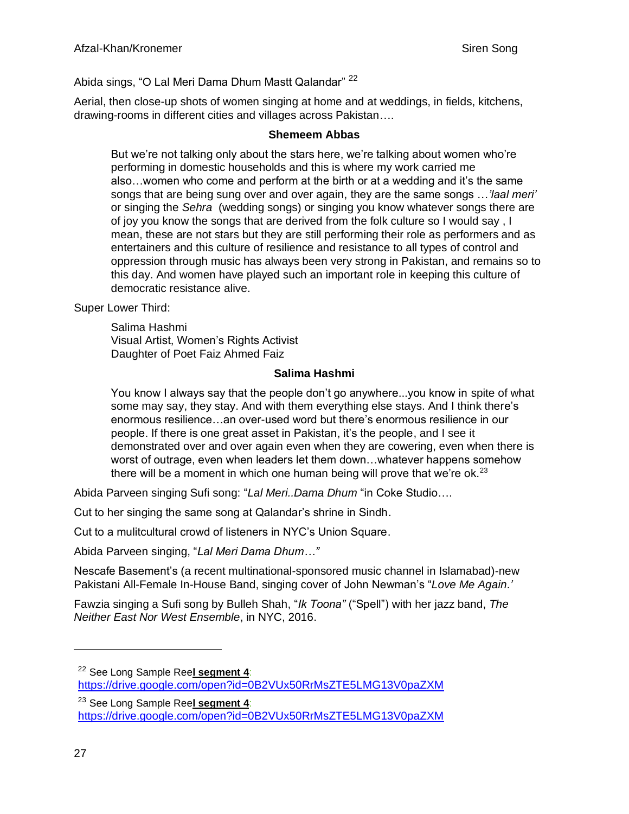# Abida sings, "O Lal Meri Dama Dhum Mastt Qalandar" <sup>22</sup>

Aerial, then close-up shots of women singing at home and at weddings, in fields, kitchens, drawing-rooms in different cities and villages across Pakistan….

#### **Shemeem Abbas**

But we're not talking only about the stars here, we're talking about women who're performing in domestic households and this is where my work carried me also…women who come and perform at the birth or at a wedding and it's the same songs that are being sung over and over again, they are the same songs …*'laal meri'* or singing the *Sehra* (wedding songs) or singing you know whatever songs there are of joy you know the songs that are derived from the folk culture so I would say , I mean, these are not stars but they are still performing their role as performers and as entertainers and this culture of resilience and resistance to all types of control and oppression through music has always been very strong in Pakistan, and remains so to this day. And women have played such an important role in keeping this culture of democratic resistance alive.

Super Lower Third:

Salima Hashmi Visual Artist, Women's Rights Activist Daughter of Poet Faiz Ahmed Faiz

## **Salima Hashmi**

You know I always say that the people don't go anywhere...you know in spite of what some may say, they stay. And with them everything else stays. And I think there's enormous resilience…an over-used word but there's enormous resilience in our people. If there is one great asset in Pakistan, it's the people, and I see it demonstrated over and over again even when they are cowering, even when there is worst of outrage, even when leaders let them down…whatever happens somehow there will be a moment in which one human being will prove that we're ok.<sup>23</sup>

Abida Parveen singing Sufi song: "*Lal Meri..Dama Dhum* "in Coke Studio….

Cut to her singing the same song at Qalandar's shrine in Sindh.

Cut to a mulitcultural crowd of listeners in NYC's Union Square.

Abida Parveen singing, "*Lal Meri Dama Dhum…"*

Nescafe Basement's (a recent multinational-sponsored music channel in Islamabad)-new Pakistani All-Female In-House Band, singing cover of John Newman's "*Love Me Again.'*

Fawzia singing a Sufi song by Bulleh Shah, "*Ik Toona"* ("Spell") with her jazz band, *The Neither East Nor West Ensemble*, in NYC, 2016.

<sup>22</sup> See Long Sample Ree**l segment 4**:

<https://drive.google.com/open?id=0B2VUx50RrMsZTE5LMG13V0paZXM>

<sup>23</sup> See Long Sample Ree**l segment 4**:

<https://drive.google.com/open?id=0B2VUx50RrMsZTE5LMG13V0paZXM>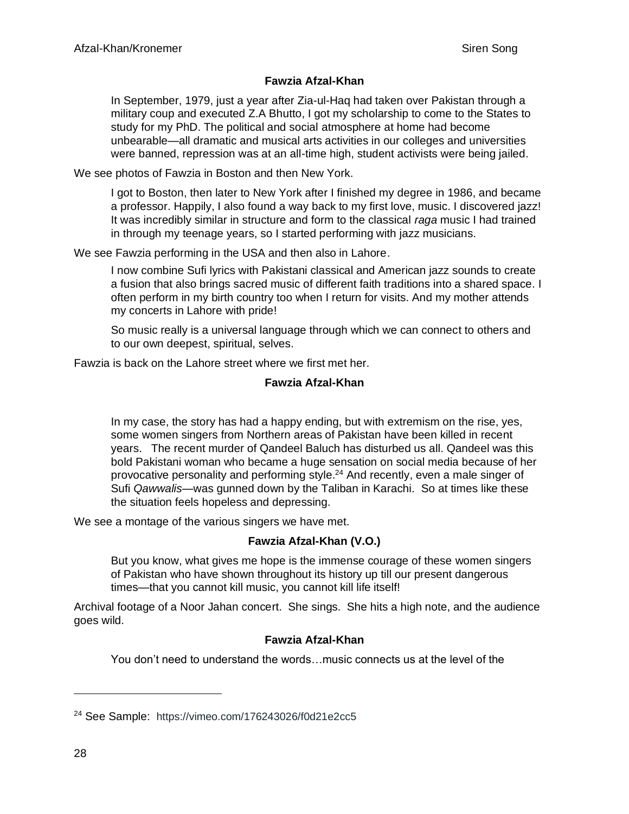# **Fawzia Afzal-Khan**

In September, 1979, just a year after Zia-ul-Haq had taken over Pakistan through a military coup and executed Z.A Bhutto, I got my scholarship to come to the States to study for my PhD. The political and social atmosphere at home had become unbearable—all dramatic and musical arts activities in our colleges and universities were banned, repression was at an all-time high, student activists were being jailed.

We see photos of Fawzia in Boston and then New York.

I got to Boston, then later to New York after I finished my degree in 1986, and became a professor. Happily, I also found a way back to my first love, music. I discovered jazz! It was incredibly similar in structure and form to the classical *raga* music I had trained in through my teenage years, so I started performing with jazz musicians.

We see Fawzia performing in the USA and then also in Lahore.

I now combine Sufi lyrics with Pakistani classical and American jazz sounds to create a fusion that also brings sacred music of different faith traditions into a shared space. I often perform in my birth country too when I return for visits. And my mother attends my concerts in Lahore with pride!

So music really is a universal language through which we can connect to others and to our own deepest, spiritual, selves.

Fawzia is back on the Lahore street where we first met her.

## **Fawzia Afzal-Khan**

In my case, the story has had a happy ending, but with extremism on the rise, yes, some women singers from Northern areas of Pakistan have been killed in recent years. The recent murder of Qandeel Baluch has disturbed us all. Qandeel was this bold Pakistani woman who became a huge sensation on social media because of her provocative personality and performing style.<sup>24</sup> And recently, even a male singer of Sufi *Qawwalis*—was gunned down by the Taliban in Karachi. So at times like these the situation feels hopeless and depressing.

We see a montage of the various singers we have met.

## **Fawzia Afzal-Khan (V.O.)**

But you know, what gives me hope is the immense courage of these women singers of Pakistan who have shown throughout its history up till our present dangerous times—that you cannot kill music, you cannot kill life itself!

Archival footage of a Noor Jahan concert. She sings. She hits a high note, and the audience goes wild.

## **Fawzia Afzal-Khan**

You don't need to understand the words…music connects us at the level of the

<sup>24</sup> See Sample: [https://vimeo.com/176243026/f0d21e2cc5](https://vimeo.com/176243026/f0d21e2cc5?utm_source=email&utm_medium=vimeo-cliptranscode-201504&utm_campaign=29220)